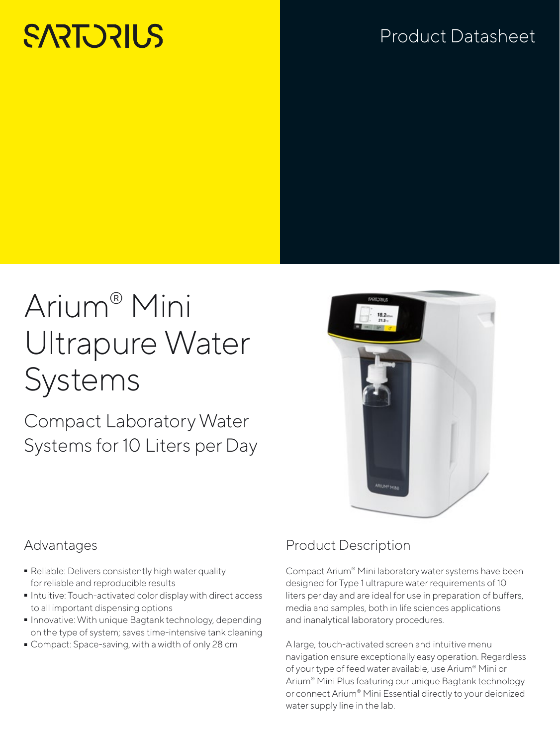# **SARTORILS**

# Product Datasheet

# Arium® Mini Ultrapure Water Systems

Compact Laboratory Water Systems for 10 Liters per Day



### Advantages

- Reliable: Delivers consistently high water quality for reliable and reproducible results
- Intuitive: Touch-activated color display with direct access to all important dispensing options
- Innovative: With unique Bagtank technology, depending on the type of system; saves time-intensive tank cleaning
- Compact: Space-saving, with a width of only 28 cm

### Product Description

Compact Arium® Mini laboratory water systems have been designed for Type 1 ultrapure water requirements of 10 liters per day and are ideal for use in preparation of buffers, media and samples, both in life sciences applications and inanalytical laboratory procedures.

A large, touch-activated screen and intuitive menu navigation ensure exceptionally easy operation. Regardless of your type of feed water available, use Arium® Mini or Arium® Mini Plus featuring our unique Bagtank technology or connect Arium® Mini Essential directly to your deionized water supply line in the lab.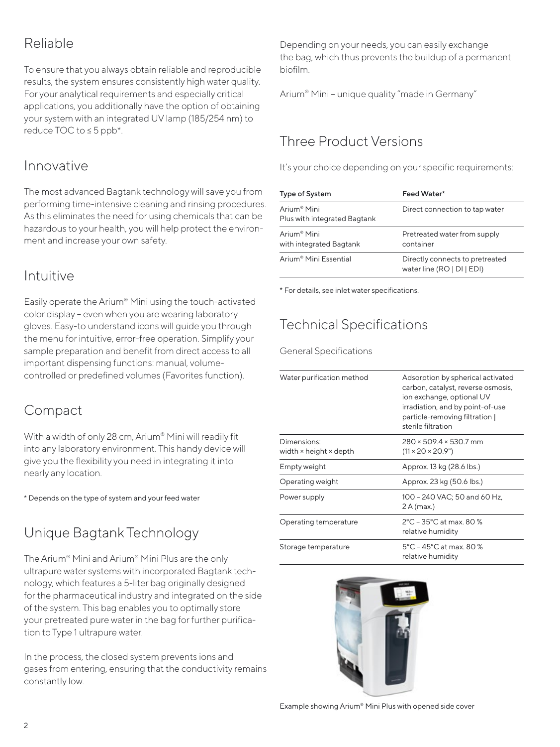### Reliable

To ensure that you always obtain reliable and reproducible results, the system ensures consistently high water quality. For your analytical requirements and especially critical applications, you additionally have the option of obtaining your system with an integrated UV lamp (185/254 nm) to reduce TOC to ≤ 5 ppb\*.

### Innovative

The most advanced Bagtank technology will save you from performing time-intensive cleaning and rinsing procedures. As this eliminates the need for using chemicals that can be hazardous to your health, you will help protect the environment and increase your own safety.

### Intuitive

Easily operate the Arium® Mini using the touch-activated color display – even when you are wearing laboratory gloves. Easy-to understand icons will guide you through the menu for intuitive, error-free operation. Simplify your sample preparation and benefit from direct access to all important dispensing functions: manual, volumecontrolled or predefined volumes (Favorites function).

### Compact

With a width of only 28 cm, Arium® Mini will readily fit into any laboratory environment. This handy device will give you the flexibility you need in integrating it into nearly any location.

\* Depends on the type of system and your feed water

## Unique Bagtank Technology

The Arium® Mini and Arium® Mini Plus are the only ultrapure water systems with incorporated Bagtank technology, which features a 5-liter bag originally designed for the pharmaceutical industry and integrated on the side of the system. This bag enables you to optimally store your pretreated pure water in the bag for further purification to Type 1 ultrapure water.

In the process, the closed system prevents ions and gases from entering, ensuring that the conductivity remains constantly low.

Depending on your needs, you can easily exchange the bag, which thus prevents the buildup of a permanent biofilm.

Arium® Mini – unique quality "made in Germany"

### Three Product Versions

It's your choice depending on your specific requirements:

| Type of System                                          | Feed Water*                                                   |
|---------------------------------------------------------|---------------------------------------------------------------|
| Arium <sup>®</sup> Mini<br>Plus with integrated Bagtank | Direct connection to tap water                                |
| Arium <sup>®</sup> Mini<br>with integrated Bagtank      | Pretreated water from supply<br>container                     |
| Arium <sup>®</sup> Mini Essential                       | Directly connects to pretreated<br>water line (RO   DI   EDI) |

\* For details, see inlet water specifications.

### Technical Specifications

General Specifications

| Water purification method             | Adsorption by spherical activated<br>carbon, catalyst, reverse osmosis,<br>ion exchange, optional UV<br>irradiation, and by point-of-use<br>particle-removing filtration  <br>sterile filtration |
|---------------------------------------|--------------------------------------------------------------------------------------------------------------------------------------------------------------------------------------------------|
|                                       |                                                                                                                                                                                                  |
| Dimensions:<br>width × height × depth | $280 \times 509.4 \times 530.7$ mm<br>$(11 \times 20 \times 20.9")$                                                                                                                              |
| Empty weight                          | Approx. 13 kg (28.6 lbs.)                                                                                                                                                                        |
| Operating weight                      | Approx. 23 kg (50.6 lbs.)                                                                                                                                                                        |
| Power supply                          | 100 - 240 VAC; 50 and 60 Hz,<br>2A(max.)                                                                                                                                                         |
| Operating temperature                 | 2°C - 35°C at max, 80 %<br>relative humidity                                                                                                                                                     |
| Storage temperature                   | $5^{\circ}$ C – 45 $^{\circ}$ C at max. 80 %<br>relative humidity                                                                                                                                |

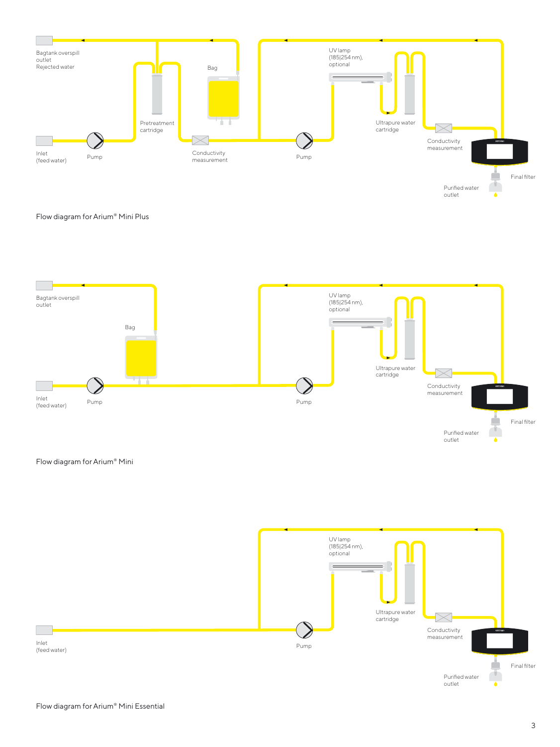

#### Flow diagram for Arium® Mini Plus



#### Flow diagram for Arium® Mini

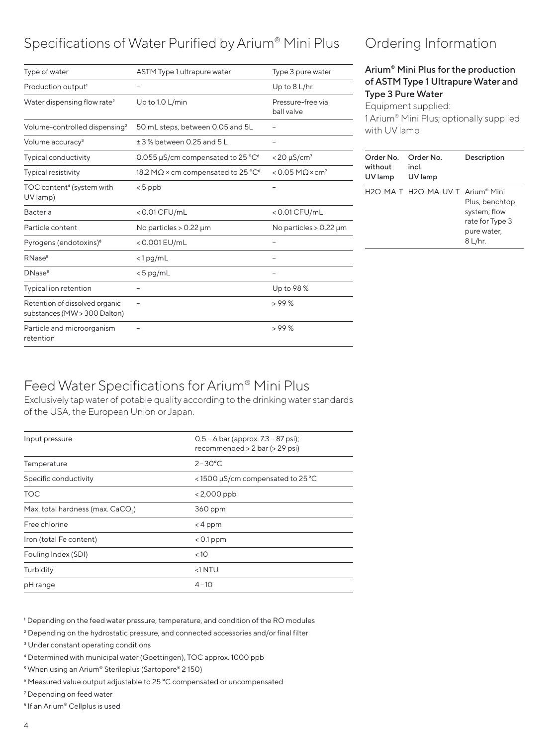### Specifications of Water Purified by Arium® Mini Plus

| Type of water                                                  | ASTM Type 1 ultrapure water                                         | Type 3 pure water                     |
|----------------------------------------------------------------|---------------------------------------------------------------------|---------------------------------------|
| Production output <sup>1</sup>                                 |                                                                     | Up to $8$ L/hr.                       |
| Water dispensing flow rate <sup>2</sup>                        | Up to 1.0 L/min                                                     | Pressure-free via<br>ball valve       |
| Volume-controlled dispensing <sup>2</sup>                      | 50 mL steps, between 0.05 and 5L                                    |                                       |
| Volume accuracy <sup>3</sup>                                   | ± 3 % between 0.25 and 5 L                                          |                                       |
| <b>Typical conductivity</b>                                    | 0.055 $\mu$ S/cm compensated to 25 °C <sup><math>\circ</math></sup> | $<$ 20 $\mu$ S/cm <sup>7</sup>        |
| <b>Typical resistivity</b>                                     | 18.2 M $\Omega$ × cm compensated to 25 °C <sup>6</sup>              | $<$ 0.05 M $\Omega$ × cm <sup>7</sup> |
| TOC content <sup>4</sup> (system with<br>UV lamp)              | $< 5$ ppb                                                           |                                       |
| <b>Bacteria</b>                                                | $<$ 0.01 CFU/mL                                                     | < 0.01 CFU/mL                         |
| Particle content                                               | No particles $> 0.22 \mu m$                                         | No particles $> 0.22 \mu m$           |
| Pyrogens (endotoxins) <sup>8</sup>                             | <0.001 EU/mL                                                        |                                       |
| RNase <sup>8</sup>                                             | $<$ 1 pg/mL                                                         |                                       |
| DNase <sup>8</sup>                                             | $< 5$ pg/mL                                                         |                                       |
| Typical ion retention                                          |                                                                     | Up to 98 %                            |
| Retention of dissolved organic<br>substances (MW > 300 Dalton) |                                                                     | >99%                                  |
| Particle and microorganism<br>retention                        |                                                                     | >99%                                  |
|                                                                |                                                                     |                                       |

### Ordering Information

#### Arium® Mini Plus for the production of ASTM Type 1 Ultrapure Water and Type 3 Pure Water

Equipment supplied: 1 Arium® Mini Plus; optionally supplied with UV lamp

| Order No.<br>without<br>UV lamp | Order No.<br>incl.<br>UV lamp    | Description                                                                 |
|---------------------------------|----------------------------------|-----------------------------------------------------------------------------|
|                                 | H2O-MA-T H2O-MA-UV-T Arium® Mini | Plus, benchtop<br>system; flow<br>rate for Type 3<br>pure water,<br>8 L/hr. |

### Feed Water Specifications for Arium® Mini Plus

Exclusively tap water of potable quality according to the drinking water standards of the USA, the European Union or Japan.

| Input pressure                                | 0.5 - 6 bar (approx. 7.3 - 87 psi);<br>recommended > 2 bar (> 29 psi) |
|-----------------------------------------------|-----------------------------------------------------------------------|
| Temperature                                   | $2 - 30^{\circ}$ C                                                    |
| Specific conductivity                         | <1500 µS/cm compensated to 25 °C                                      |
| <b>TOC</b>                                    | $< 2,000$ ppb                                                         |
| Max. total hardness (max. CaCO <sub>3</sub> ) | 360 ppm                                                               |
| Free chlorine                                 | $<$ 4 ppm                                                             |
| Iron (total Fe content)                       | $< 0.1$ ppm                                                           |
| Fouling Index (SDI)                           | < 10                                                                  |
| Turbidity                                     | $<1$ NTU                                                              |
| pH range                                      | $4 - 10$                                                              |

1 Depending on the feed water pressure, temperature, and condition of the RO modules

- <sup>2</sup> Depending on the hydrostatic pressure, and connected accessories and/or final filter
- <sup>3</sup> Under constant operating conditions
- 4 Determined with municipal water (Goettingen), TOC approx. 1000 ppb
- 5 When using an Arium® Sterileplus (Sartopore® 2 150)
- 6 Measured value output adjustable to 25 °C compensated or uncompensated
- 7 Depending on feed water
- 8 If an Arium® Cellplus is used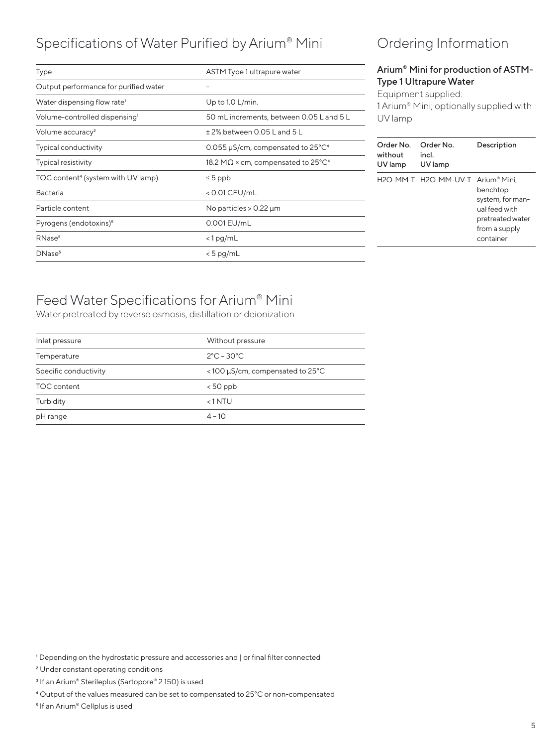### Specifications of Water Purified by Arium® Mini

| Type                                           | ASTM Type 1 ultrapure water                                   |
|------------------------------------------------|---------------------------------------------------------------|
| Output performance for purified water          |                                                               |
| Water dispensing flow rate <sup>1</sup>        | Up to 1.0 L/min.                                              |
| Volume-controlled dispensing <sup>1</sup>      | 50 mL increments, between 0.05 L and 5 L                      |
| Volume accuracy <sup>2</sup>                   | $±$ 2% between 0.05 L and 5 L                                 |
| <b>Typical conductivity</b>                    | 0.055 $\mu$ S/cm, compensated to 25 $^{\circ}$ C <sup>4</sup> |
| <b>Typical resistivity</b>                     | 18.2 M $\Omega$ × cm, compensated to 25°C <sup>4</sup>        |
| TOC content <sup>4</sup> (system with UV lamp) | $\leq 5$ ppb                                                  |
| <b>Bacteria</b>                                | < 0.01 CFU/mL                                                 |
| Particle content                               | No particles $> 0.22 \mu m$                                   |
| Pyrogens (endotoxins) <sup>5</sup>             | 0.001 EU/mL                                                   |
| RNase <sup>5</sup>                             | $<$ 1 pg/mL                                                   |
| DNase <sup>5</sup>                             | $< 5$ pg/mL                                                   |
|                                                |                                                               |

### Ordering Information

#### Arium® Mini for production of ASTM-Type 1 Ultrapure Water

Equipment supplied: 1 Arium® Mini; optionally supplied with UV lamp

| Order No.<br>without<br>UV lamp | Order No.<br>incl.<br>UV lamp     | Description                                                                                     |
|---------------------------------|-----------------------------------|-------------------------------------------------------------------------------------------------|
|                                 | H2O-MM-T H2O-MM-UV-T Arium® Mini. | benchtop<br>system, for man-<br>ual feed with<br>pretreated water<br>from a supply<br>container |

### Feed Water Specifications for Arium® Mini

Water pretreated by reverse osmosis, distillation or deionization

| Inlet pressure        | Without pressure                |
|-----------------------|---------------------------------|
| Temperature           | $2^{\circ}$ C – 30 $^{\circ}$ C |
| Specific conductivity | <100 µS/cm, compensated to 25°C |
| TOC content           | $< 50$ ppb                      |
| Turbidity             | $< 1$ NTU                       |
| pH range              | $4 - 10$                        |
|                       |                                 |

<sup>1</sup> Depending on the hydrostatic pressure and accessories and | or final filter connected

2 Under constant operating conditions

<sup>3</sup> If an Arium<sup>®</sup> Sterileplus (Sartopore® 2 150) is used

4 Output of the values measured can be set to compensated to 25°C or non-compensated

5 If an Arium® Cellplus is used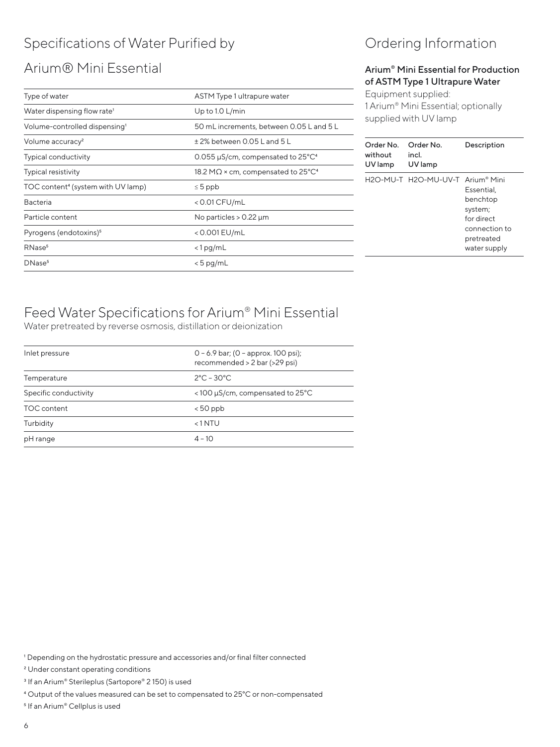## Specifications of Water Purified by

### Arium® Mini Essential

| Type of water                                  | ASTM Type 1 ultrapure water                                   |
|------------------------------------------------|---------------------------------------------------------------|
| Water dispensing flow rate <sup>1</sup>        | Up to $1.0$ L/min                                             |
| Volume-controlled dispensing <sup>1</sup>      | 50 mL increments, between 0.05 L and 5 L                      |
| Volume accuracy <sup>2</sup>                   | $\pm$ 2% between 0.05 L and 5 L                               |
| <b>Typical conductivity</b>                    | 0.055 $\mu$ S/cm, compensated to 25 $^{\circ}$ C <sup>4</sup> |
| <b>Typical resistivity</b>                     | 18.2 M $\Omega$ × cm, compensated to 25°C <sup>4</sup>        |
| TOC content <sup>4</sup> (system with UV lamp) | $\leq 5$ ppb                                                  |
| <b>Bacteria</b>                                | < 0.01 CFU/mL                                                 |
| Particle content                               | No particles $> 0.22 \mu m$                                   |
| Pyrogens (endotoxins) <sup>5</sup>             | < 0.001 EU/mL                                                 |
| RNase <sup>5</sup>                             | $<$ 1 pg/mL                                                   |
| DNase <sup>5</sup>                             | $< 5$ pg/mL                                                   |

### Ordering Information

#### Arium® Mini Essential for Production of ASTM Type 1 Ultrapure Water

Equipment supplied: 1 Arium® Mini Essential; optionally supplied with UV lamp

| Order No.<br>without<br>UV lamp | Order No.<br>incl.<br>UV lamp    | Description                                                                                    |
|---------------------------------|----------------------------------|------------------------------------------------------------------------------------------------|
|                                 | H2O-MU-T H2O-MU-UV-T Arium® Mini | Essential.<br>benchtop<br>system;<br>for direct<br>connection to<br>pretreated<br>water supply |

### Feed Water Specifications for Arium® Mini Essential

Water pretreated by reverse osmosis, distillation or deionization

| Inlet pressure        | $0 - 6.9$ bar; (0 - approx. 100 psi);<br>recommended > 2 bar (>29 psi) |
|-----------------------|------------------------------------------------------------------------|
| Temperature           | $2^{\circ}$ C – 30 $^{\circ}$ C                                        |
| Specific conductivity | <100 µS/cm, compensated to 25°C                                        |
| TOC content           | $< 50$ ppb                                                             |
| Turbidity             | $<$ 1 NTU                                                              |
| pH range              | $4 - 10$                                                               |

1 Depending on the hydrostatic pressure and accessories and/or final filter connected

2 Under constant operating conditions

<sup>3</sup> If an Arium<sup>®</sup> Sterileplus (Sartopore® 2 150) is used

4 Output of the values measured can be set to compensated to 25°C or non-compensated

5 If an Arium® Cellplus is used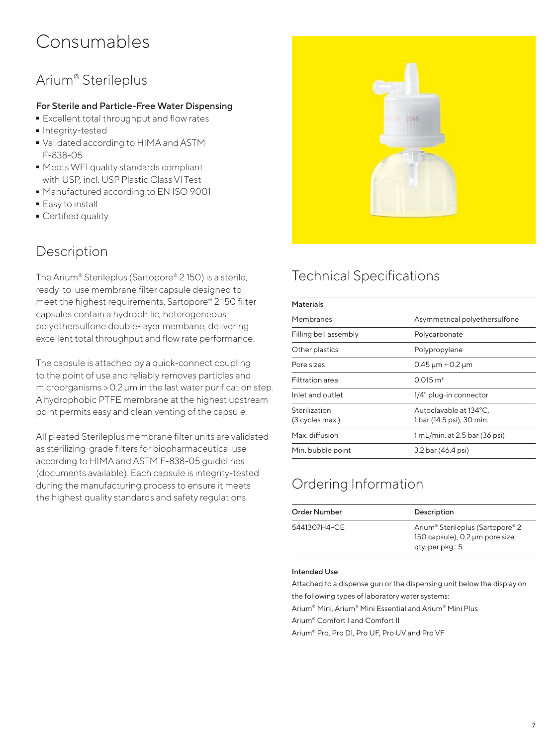# Consumables

### Arium® Sterileplus

#### For Sterile and Particle-Free Water Dispensing

- **Excellent total throughput and flow rates**<br>**Integrity-tested**
- 
- Integrity-tested<br>• Validated accor - Validated according to HIMA and ASTM F-838-05
- Meets WFI quality standards compliant with USP, incl. USP Plastic Class VI Test
- Manufactured according to EN ISO 9001<br>■ Easy to install
- 
- Easy to install<br>• Certified qual  $\overline{\phantom{a}}$  Certified quality

### Description

The Arium® Sterileplus (Sartopore® 2 150) is a sterile, ready-to-use membrane filter capsule designed to meet the highest requirements. Sartopore® 2 150 filter capsules contain a hydrophilic, heterogeneous polyethersulfone double-layer membane, delivering excellent total throughput and flow rate performance.

The capsule is attached by a quick-connect coupling to the point of use and reliably removes particles and microorganisms >0.2µm in the last water purification step. A hydrophobic PTFE membrane at the highest upstream point permits easy and clean venting of the capsule.

All pleated Sterileplus membrane filter units are validated as sterilizing-grade filters for biopharmaceutical use according to HIMA and ASTM F-838-05 guidelines (documents available). Each capsule is integrity-tested during the manufacturing process to ensure it meets the highest quality standards and safety regulations.



### Technical Specifications

| <b>Materials</b>                 |                                                     |
|----------------------------------|-----------------------------------------------------|
| Membranes                        | Asymmetrical polyethersulfone                       |
| Filling bell assembly            | Polycarbonate                                       |
| Other plastics                   | Polypropylene                                       |
| Pore sizes                       | $0.45 \mu m + 0.2 \mu m$                            |
| Filtration area                  | $0.015 \text{ m}^2$                                 |
| Inlet and outlet                 | 1/4" plug-in connector                              |
| Sterilization<br>(3 cycles max.) | Autoclavable at 134°C,<br>1 bar (14.5 psi), 30 min. |
| Max. diffusion                   | 1 mL/min. at 2.5 bar (36 psi)                       |
| Min. bubble point                | 3.2 bar (46.4 psi)                                  |

### Ordering Information

| Order Number | Description                                                                                                     |
|--------------|-----------------------------------------------------------------------------------------------------------------|
| 5441307H4-CE | Arium <sup>®</sup> Sterileplus (Sartopore <sup>®</sup> 2<br>150 capsule), 0.2 µm pore size;<br>qty. per pkg.: 5 |

#### Intended Use

Attached to a dispense gun or the dispensing unit below the display on the following types of laboratory water systems:

Arium® Mini, Arium® Mini Essential and Arium® Mini Plus

Arium® Comfort I and Comfort II

Arium® Pro, Pro DI, Pro UF, Pro UV and Pro VF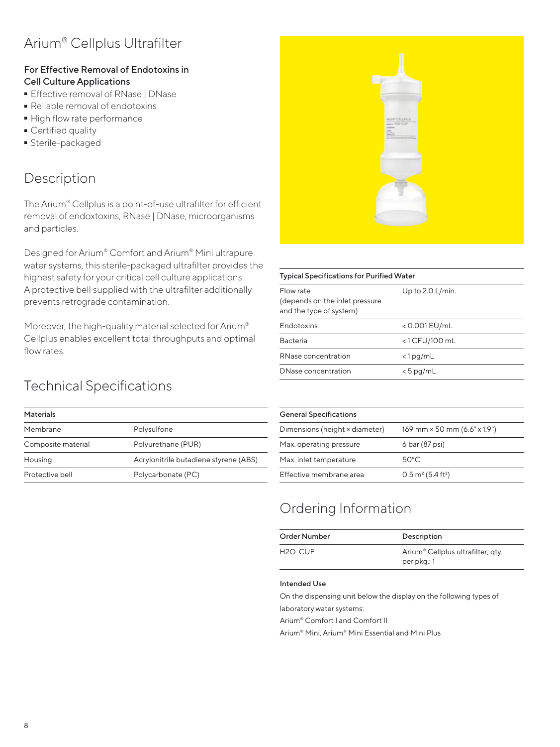### Arium® Cellplus Ultrafilter

#### For Effective Removal of Endotoxins in Cell Culture Applications

- **E** Effective removal of RNase | DNase<br>Reliable removal of endotoxins
- 
- Reliable removal of endotoxins • High flow rate performance<br>• Certified quality
- 
- Certified quality<br>• Sterile-package ■ Sterile-packaged<br>→

### Description

The Arium® Cellplus is a point-of-use ultrafilter for efficient removal of endoxtoxins, RNase | DNase, microorganisms and particles.

Designed for Arium® Comfort and Arium® Mini ultrapure water systems, this sterile-packaged ultrafilter provides the highest safety for your critical cell culture applications. A protective bell supplied with the ultrafilter additionally prevents retrograde contamination.

Moreover, the high-quality material selected for Arium® Cellplus enables excellent total throughputs and optimal flow rates.



| <b>Typical Specifications for Purified Water</b>                        |                    |
|-------------------------------------------------------------------------|--------------------|
| Flow rate<br>(depends on the inlet pressure)<br>and the type of system) | Up to $2.0$ L/min. |
| <b>Endotoxins</b>                                                       | < 0.001 EU/mL      |
| <b>Bacteria</b>                                                         | $<$ 1 CFU/100 mL   |
| RNase concentration                                                     | $<$ 1 pg/mL        |
| DNase concentration                                                     | $< 5$ pg/mL        |

### Technical Specifications

| <b>Materials</b>   |                                       |
|--------------------|---------------------------------------|
| Membrane           | Polysulfone                           |
| Composite material | Polyurethane (PUR)                    |
| Housing            | Acrylonitrile butadiene styrene (ABS) |
| Protective bell    | Polycarbonate (PC)                    |
|                    |                                       |

| <b>General Specifications</b>  |                                          |
|--------------------------------|------------------------------------------|
| Dimensions (height × diameter) | 169 mm × 50 mm (6.6" x 1.9")             |
| Max. operating pressure        | 6 bar (87 psi)                           |
| Max. inlet temperature         | $50^{\circ}$ C.                          |
| Effective membrane area        | $0.5 \text{ m}^2$ (5.4 ft <sup>2</sup> ) |

### Ordering Information

| Order Number         | Description                                   |
|----------------------|-----------------------------------------------|
| H <sub>2</sub> O-CUF | Arium <sup>®</sup> Cellplus ultrafilter; gty. |
|                      | per pkg.: 1                                   |

#### Intended Use

On the dispensing unit below the display on the following types of laboratory water systems:

Arium® Comfort I and Comfort II

Arium® Mini, Arium® Mini Essential and Mini Plus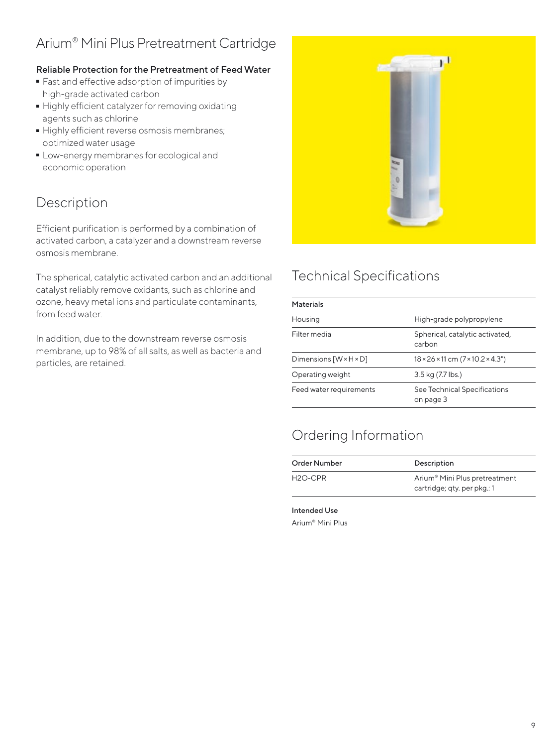### Arium® Mini Plus Pretreatment Cartridge

#### Reliable Protection for the Pretreatment of Feed Water

- Fast and effective adsorption of impurities by high-grade activated carbon
- Highly efficient catalyzer for removing oxidating agents such as chlorine
- Highly efficient reverse osmosis membranes; optimized water usage
- Low-energy membranes for ecological and economic operation

### Description

Efficient purification is performed by a combination of activated carbon, a catalyzer and a downstream reverse osmosis membrane.

The spherical, catalytic activated carbon and an additional catalyst reliably remove oxidants, such as chlorine and ozone, heavy metal ions and particulate contaminants, from feed water.

In addition, due to the downstream reverse osmosis membrane, up to 98% of all salts, as well as bacteria and particles, are retained.



### Technical Specifications

| <b>Materials</b>                   |                                                           |
|------------------------------------|-----------------------------------------------------------|
| Housing                            | High-grade polypropylene                                  |
| Filter media                       | Spherical, catalytic activated,<br>carbon                 |
| Dimensions $[W \times H \times D]$ | $18 \times 26 \times 11$ cm $(7 \times 10.2 \times 4.3")$ |
| Operating weight                   | 3.5 kg (7.7 lbs.)                                         |
| Feed water requirements            | See Technical Specifications<br>on page 3                 |

### Ordering Information

| Order Number         | Description                                                              |
|----------------------|--------------------------------------------------------------------------|
| H <sub>2</sub> O-CPR | Arium <sup>®</sup> Mini Plus pretreatment<br>cartridge; qty. per pkg.: 1 |

Intended Use Arium® Mini Plus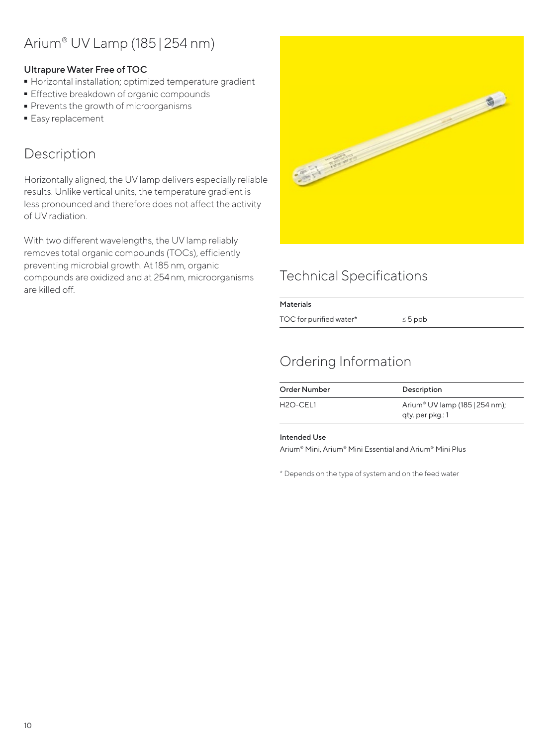### Arium® UV Lamp (185|254 nm)

#### Ultrapure Water Free of TOC

- Horizontal installation; optimized temperature gradient<br>• Effective breakdown of organic compounds
- 
- Effective breakdown of organic compounds<br>■ Prevents the growth of microorganisms - Prevents the growth of microorganisms
- **Easy replacement**

### Description

Horizontally aligned, the UV lamp delivers especially reliable results. Unlike vertical units, the temperature gradient is less pronounced and therefore does not affect the activity of UV radiation.

With two different wavelengths, the UV lamp reliably removes total organic compounds (TOCs), efficiently preventing microbial growth. At 185 nm, organic compounds are oxidized and at 254nm, microorganisms are killed off.



### Technical Specifications

| <b>Materials</b>        |              |  |
|-------------------------|--------------|--|
| TOC for purified water* | $\leq 5$ ppb |  |

### Ordering Information

| Order Number          | Description                                                    |
|-----------------------|----------------------------------------------------------------|
| H <sub>2O</sub> -CEL1 | Arium <sup>®</sup> UV lamp (185   254 nm);<br>gty. per pkg.: 1 |

#### Intended Use

Arium® Mini, Arium® Mini Essential and Arium® Mini Plus

\* Depends on the type of system and on the feed water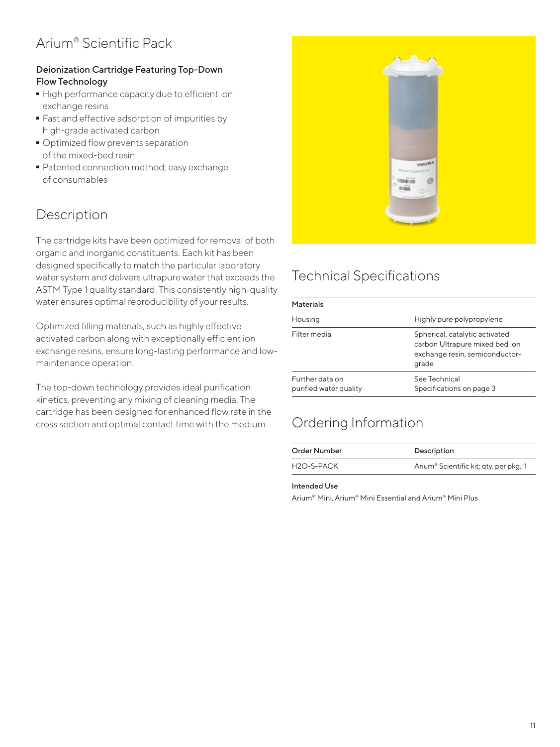### Arium® Scientific Pack

#### Deionization Cartridge Featuring Top-Down Flow Technology

- High performance capacity due to efficient ion exchange resins
- Fast and effective adsorption of impurities by high-grade activated carbon
- $\blacksquare$  Optimized flow prevents separation of the mixed-bed resin
- Patented connection method; easy exchange of consumables

### Description

The cartridge kits have been optimized for removal of both organic and inorganic constituents. Each kit has been designed specifically to match the particular laboratory water system and delivers ultrapure water that exceeds the ASTM Type 1 quality standard. This consistently high-quality water ensures optimal reproducibility of your results.

Optimized filling materials, such as highly effective activated carbon along with exceptionally efficient ion exchange resins, ensure long-lasting performance and lowmaintenance operation.

The top-down technology provides ideal purification kinetics, preventing any mixing of cleaning media. The cartridge has been designed for enhanced flow rate in the cross section and optimal contact time with the medium.



### Technical Specifications

| <b>Materials</b>                          |                                                                                                             |
|-------------------------------------------|-------------------------------------------------------------------------------------------------------------|
| Housing                                   | Highly pure polypropylene                                                                                   |
| Filter media                              | Spherical, catalytic activated<br>carbon Ultrapure mixed bed ion<br>exchange resin, semiconductor-<br>grade |
| Further data on<br>purified water quality | See Technical<br>Specifications on page 3                                                                   |

### Ordering Information

| Order Number            | Description                                         |
|-------------------------|-----------------------------------------------------|
| H <sub>2</sub> O-S-PACK | Arium <sup>®</sup> Scientific kit; qty. per pkg.: 1 |

#### Intended Use

Arium® Mini, Arium® Mini Essential and Arium® Mini Plus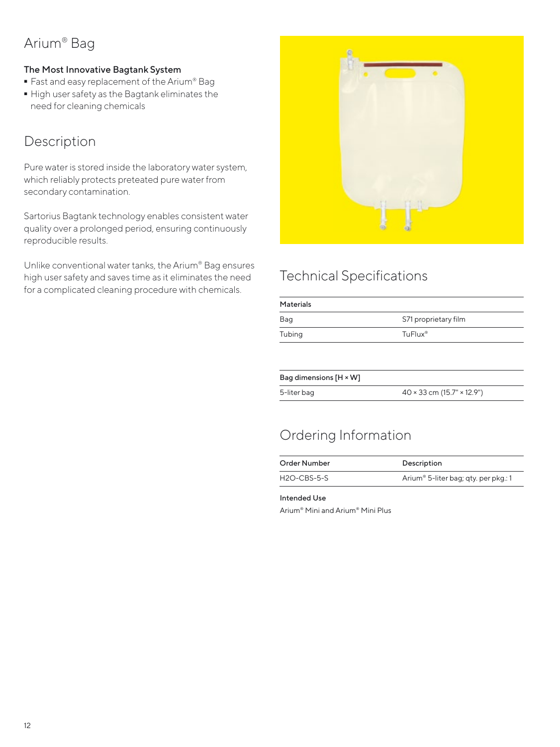### Arium® Bag

#### The Most Innovative Bagtank System

- 
- Fast and easy replacement of the Arium® Bag<br>■ High user safety as the Bagtank eliminates th  $\blacksquare$  High user safety as the Bagtank eliminates the need for cleaning chemicals need for cleaning chemicals

### Description

Pure water is stored inside the laboratory water system, which reliably protects preteated pure water from secondary contamination.

Sartorius Bagtank technology enables consistent water quality over a prolonged period, ensuring continuously reproducible results.

Unlike conventional water tanks, the Arium® Bag ensures high user safety and saves time as it eliminates the need for a complicated cleaning procedure with chemicals.



### Technical Specifications

| <b>Materials</b> |                      |
|------------------|----------------------|
| Bag              | S71 proprietary film |
| Tubing           | TuFlux <sup>®</sup>  |
|                  |                      |
|                  |                      |

| Bag dimensions $[H \times W]$ |                                          |
|-------------------------------|------------------------------------------|
| 5-liter bag                   | $40 \times 33$ cm (15.7" $\times$ 12.9") |

### Ordering Information

| Order Number  | Description                                      |
|---------------|--------------------------------------------------|
| $H2O-CBS-5-S$ | Arium <sup>®</sup> 5-liter bag; qty. per pkg.: 1 |

#### Intended Use

Arium® Mini and Arium® Mini Plus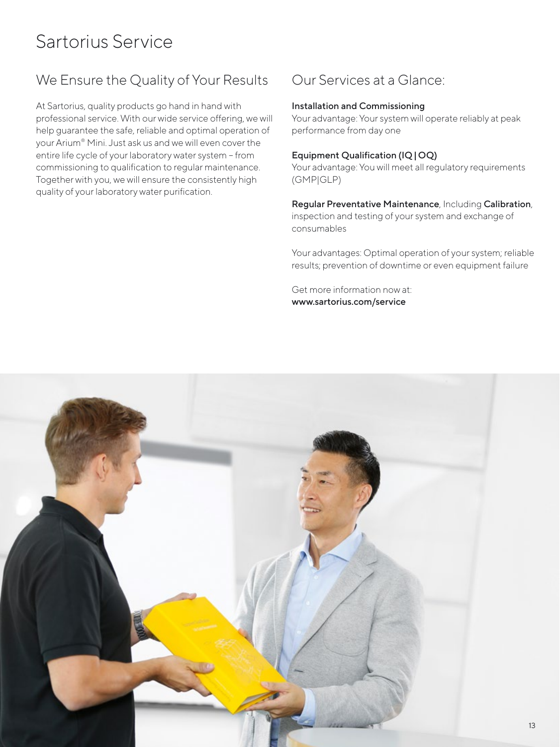# Sartorius Service

### We Ensure the Quality of Your Results

At Sartorius, quality products go hand in hand with professional service. With our wide service offering, we will help guarantee the safe, reliable and optimal operation of your Arium® Mini. Just ask us and we will even cover the entire life cycle of your laboratory water system – from commissioning to qualification to regular maintenance. Together with you, we will ensure the consistently high quality of your laboratory water purification.

### Our Services at a Glance:

#### Installation and Commissioning

Your advantage: Your system will operate reliably at peak performance from day one

#### Equipment Qualification (IQ|OQ)

Your advantage: You will meet all regulatory requirements (GMP|GLP)

Regular Preventative Maintenance, Including Calibration, inspection and testing of your system and exchange of consumables

Your advantages: Optimal operation of your system; reliable results; prevention of downtime or even equipment failure

Get more information now at: www.sartorius.com/service